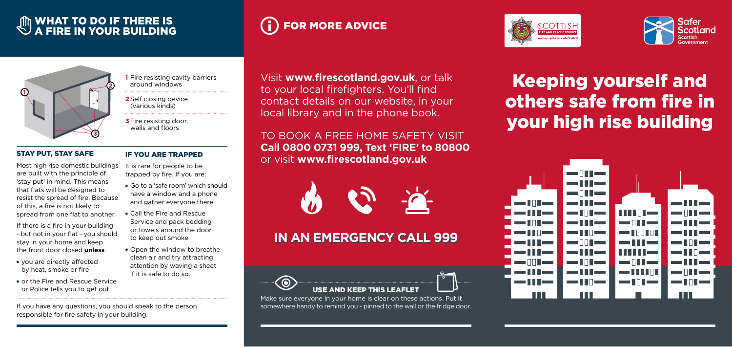Visit **www.firescotland.gov.uk**, or talk to your local firefighters. You'll find contact details on our website, in your local library and in the phone book.

TO BOOK A FREE HOME SAFETY VISIT **Call 0800 0731 999, Text 'FIRE' to 80800**  or visit **www.firescotland.gov.uk**



**1** Fire resisting cavity barriers around windows

- **2**Self closing device (various kinds)
- **3**Fire resisting door, walls and floors

### IF YOU ARE TRAPPED

It is rare for people to be trapped by fire. If you are:

- Go to a 'safe room' which should have a window and a phone and gather everyone there.
- Call the Fire and Rescue Service and pack bedding or towels around the door to keep out smoke.
- Open the window to breathe clean air and try attracting attention by waving a sheet if it is safe to do so.

# **IN AN EMERGENCY CALL 999**



# Keeping yourself and others safe from fire in your high rise building



USE AND KEEP THIS LEAFLET

Make sure everyone in your home is clear on these actions. Put it somewhere handy to remind you - pinned to the wall or the fridge door.



# WHAT TO DO IF THERE IS **A FIRE IS A FIRE IN YOUR BUILDING**



## STAY PUT, STAY SAFE

Most high rise domestic buildings are built with the principle of 'stay put' in mind. This means that flats will be designed to resist the spread of fire. Because of this, a fire is not likely to spread from one flat to another.

If there is a fire in your building - but not in your flat - you should stay in your home and keep the front door closed **unless**:

- you are directly affected by heat, smoke or fire
- or the Fire and Rescue Service or Police tells you to get out

If you have any questions, you should speak to the person responsible for fire safety in your building.